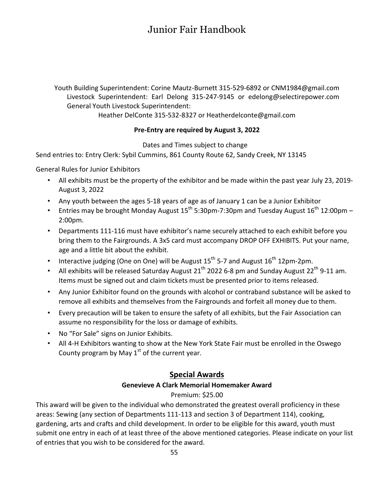# Junior Fair Handbook

Youth Building Superintendent: Corine Mautz-Burnett 315-529-6892 or CNM1984@gmail.com Livestock Superintendent: Earl Delong 315-247-9145 or edelong@selectirepower.com General Youth Livestock Superintendent:

Heather DelConte 315-532-8327 or Heatherdelconte@gmail.com

### **Pre-Entry are required by August 3, 2022**

Dates and Times subject to change

Send entries to: Entry Clerk: Sybil Cummins, 861 County Route 62, Sandy Creek, NY 13145

General Rules for Junior Exhibitors

- All exhibits must be the property of the exhibitor and be made within the past year July 23, 2019- August 3, 2022
- Any youth between the ages 5-18 years of age as of January 1 can be a Junior Exhibitor
- Entries may be brought Monday August  $15^{th}$  5:30pm-7:30pm and Tuesday August  $16^{th}$  12:00pm 2:00pm.
- Departments 111-116 must have exhibitor's name securely attached to each exhibit before you bring them to the Fairgrounds. A 3x5 card must accompany DROP OFF EXHIBITS. Put your name, age and a little bit about the exhibit.
- Interactive judging (One on One) will be August  $15^{th}$  5-7 and August  $16^{th}$  12pm-2pm.
- All exhibits will be released Saturday August 21<sup>th</sup> 2022 6-8 pm and Sunday August 22<sup>th</sup> 9-11 am. Items must be signed out and claim tickets must be presented prior to items released.
- Any Junior Exhibitor found on the grounds with alcohol or contraband substance will be asked to remove all exhibits and themselves from the Fairgrounds and forfeit all money due to them.
- Every precaution will be taken to ensure the safety of all exhibits, but the Fair Association can assume no responsibility for the loss or damage of exhibits.
- No "For Sale" signs on Junior Exhibits.
- All 4-H Exhibitors wanting to show at the New York State Fair must be enrolled in the Oswego County program by May  $1<sup>st</sup>$  of the current year.

## **Special Awards**

#### **Genevieve A Clark Memorial Homemaker Award**

### Premium: \$25.00

This award will be given to the individual who demonstrated the greatest overall proficiency in these areas: Sewing (any section of Departments 111-113 and section 3 of Department 114), cooking, gardening, arts and crafts and child development. In order to be eligible for this award, youth must submit one entry in each of at least three of the above mentioned categories. Please indicate on your list of entries that you wish to be considered for the award.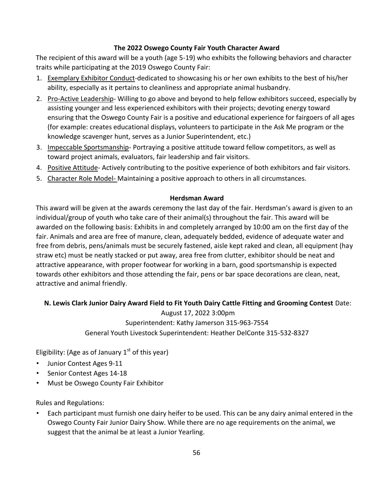## **The 2022 Oswego County Fair Youth Character Award**

The recipient of this award will be a youth (age 5-19) who exhibits the following behaviors and character traits while participating at the 2019 Oswego County Fair:

- 1. Exemplary Exhibitor Conduct-dedicated to showcasing his or her own exhibits to the best of his/her ability, especially as it pertains to cleanliness and appropriate animal husbandry.
- 2. Pro-Active Leadership- Willing to go above and beyond to help fellow exhibitors succeed, especially by assisting younger and less experienced exhibitors with their projects; devoting energy toward ensuring that the Oswego County Fair is a positive and educational experience for fairgoers of all ages (for example: creates educational displays, volunteers to participate in the Ask Me program or the knowledge scavenger hunt, serves as a Junior Superintendent, etc.)
- 3. Impeccable Sportsmanship- Portraying a positive attitude toward fellow competitors, as well as toward project animals, evaluators, fair leadership and fair visitors.
- 4. Positive Attitude- Actively contributing to the positive experience of both exhibitors and fair visitors.
- 5. Character Role Model-Maintaining a positive approach to others in all circumstances.

#### **Herdsman Award**

This award will be given at the awards ceremony the last day of the fair. Herdsman's award is given to an individual/group of youth who take care of their animal(s) throughout the fair. This award will be awarded on the following basis: Exhibits in and completely arranged by 10:00 am on the first day of the fair. Animals and area are free of manure, clean, adequately bedded, evidence of adequate water and free from debris, pens/animals must be securely fastened, aisle kept raked and clean, all equipment (hay straw etc) must be neatly stacked or put away, area free from clutter, exhibitor should be neat and attractive appearance, with proper footwear for working in a barn, good sportsmanship is expected towards other exhibitors and those attending the fair, pens or bar space decorations are clean, neat, attractive and animal friendly.

### **N. Lewis Clark Junior Dairy Award Field to Fit Youth Dairy Cattle Fitting and Grooming Contest** Date:

August 17, 2022 3:00pm Superintendent: Kathy Jamerson 315-963-7554 General Youth Livestock Superintendent: Heather DelConte 315-532-8327

Eligibility: (Age as of January  $1<sup>st</sup>$  of this year)

- Junior Contest Ages 9-11
- Senior Contest Ages 14-18
- Must be Oswego County Fair Exhibitor

Rules and Regulations:

• Each participant must furnish one dairy heifer to be used. This can be any dairy animal entered in the Oswego County Fair Junior Dairy Show. While there are no age requirements on the animal, we suggest that the animal be at least a Junior Yearling.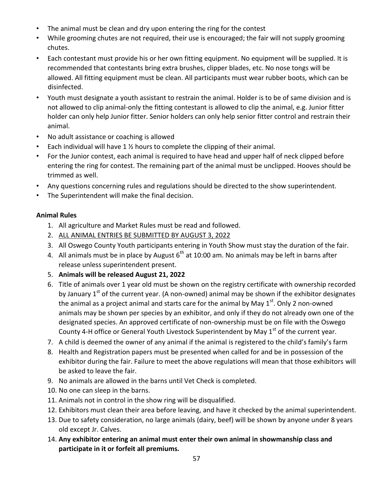- The animal must be clean and dry upon entering the ring for the contest
- While grooming chutes are not required, their use is encouraged; the fair will not supply grooming chutes.
- Each contestant must provide his or her own fitting equipment. No equipment will be supplied. It is recommended that contestants bring extra brushes, clipper blades, etc. No nose tongs will be allowed. All fitting equipment must be clean. All participants must wear rubber boots, which can be disinfected.
- Youth must designate a youth assistant to restrain the animal. Holder is to be of same division and is not allowed to clip animal-only the fitting contestant is allowed to clip the animal, e.g. Junior fitter holder can only help Junior fitter. Senior holders can only help senior fitter control and restrain their animal.
- No adult assistance or coaching is allowed
- Each individual will have 1 ½ hours to complete the clipping of their animal.
- For the Junior contest, each animal is required to have head and upper half of neck clipped before entering the ring for contest. The remaining part of the animal must be unclipped. Hooves should be trimmed as well.
- Any questions concerning rules and regulations should be directed to the show superintendent.
- The Superintendent will make the final decision.

## **Animal Rules**

- 1. All agriculture and Market Rules must be read and followed.
- 2. ALL ANIMAL ENTRIES BE SUBMITTED BY AUGUST 3, 2022
- 3. All Oswego County Youth participants entering in Youth Show must stay the duration of the fair.
- 4. All animals must be in place by August  $6<sup>th</sup>$  at 10:00 am. No animals may be left in barns after release unless superintendent present.
- 5. **Animals will be released August 21, 2022**
- 6. Title of animals over 1 year old must be shown on the registry certificate with ownership recorded by January  $1<sup>st</sup>$  of the current year. (A non-owned) animal may be shown if the exhibitor designates the animal as a project animal and starts care for the animal by May  $1<sup>st</sup>$ . Only 2 non-owned animals may be shown per species by an exhibitor, and only if they do not already own one of the designated species. An approved certificate of non-ownership must be on file with the Oswego County 4-H office or General Youth Livestock Superintendent by May 1<sup>st</sup> of the current year.
- 7. A child is deemed the owner of any animal if the animal is registered to the child's family's farm
- 8. Health and Registration papers must be presented when called for and be in possession of the exhibitor during the fair. Failure to meet the above regulations will mean that those exhibitors will be asked to leave the fair.
- 9. No animals are allowed in the barns until Vet Check is completed.
- 10. No one can sleep in the barns.
- 11. Animals not in control in the show ring will be disqualified.
- 12. Exhibitors must clean their area before leaving, and have it checked by the animal superintendent.
- 13. Due to safety consideration, no large animals (dairy, beef) will be shown by anyone under 8 years old except Jr. Calves.
- 14. **Any exhibitor entering an animal must enter their own animal in showmanship class and participate in it or forfeit all premiums.**